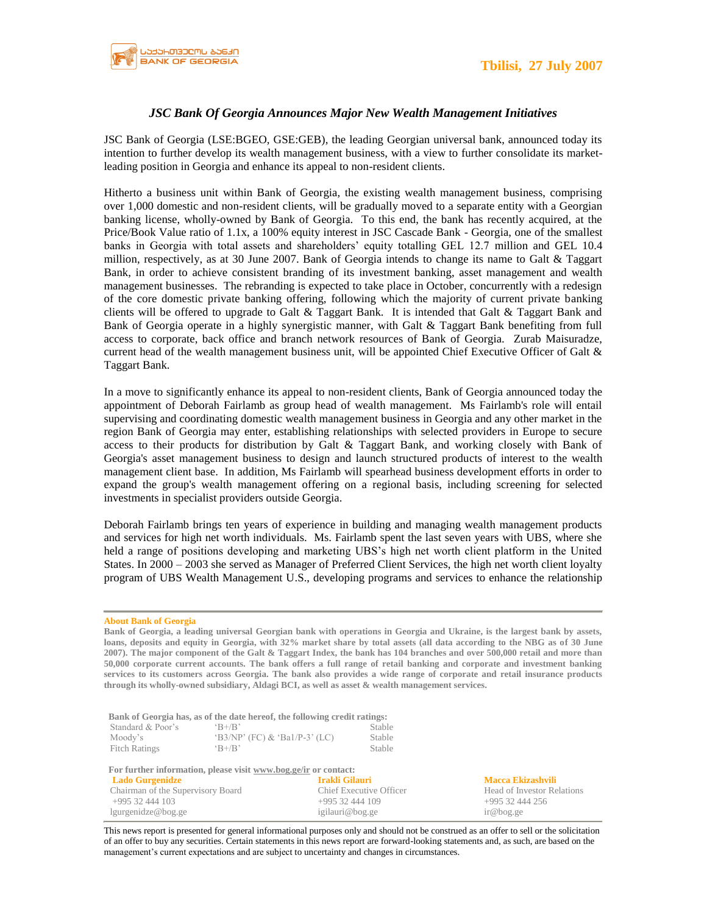

## *JSC Bank Of Georgia Announces Major New Wealth Management Initiatives*

JSC Bank of Georgia (LSE:BGEO, GSE:GEB), the leading Georgian universal bank, announced today its intention to further develop its wealth management business, with a view to further consolidate its marketleading position in Georgia and enhance its appeal to non-resident clients.

Hitherto a business unit within Bank of Georgia, the existing wealth management business, comprising over 1,000 domestic and non-resident clients, will be gradually moved to a separate entity with a Georgian banking license, wholly-owned by Bank of Georgia. To this end, the bank has recently acquired, at the Price/Book Value ratio of 1.1x, a 100% equity interest in JSC Cascade Bank - Georgia, one of the smallest banks in Georgia with total assets and shareholders' equity totalling GEL 12.7 million and GEL 10.4 million, respectively, as at 30 June 2007. Bank of Georgia intends to change its name to Galt & Taggart Bank, in order to achieve consistent branding of its investment banking, asset management and wealth management businesses. The rebranding is expected to take place in October, concurrently with a redesign of the core domestic private banking offering, following which the majority of current private banking clients will be offered to upgrade to Galt & Taggart Bank. It is intended that Galt & Taggart Bank and Bank of Georgia operate in a highly synergistic manner, with Galt & Taggart Bank benefiting from full access to corporate, back office and branch network resources of Bank of Georgia. Zurab Maisuradze, current head of the wealth management business unit, will be appointed Chief Executive Officer of Galt & Taggart Bank.

In a move to significantly enhance its appeal to non-resident clients, Bank of Georgia announced today the appointment of Deborah Fairlamb as group head of wealth management. Ms Fairlamb's role will entail supervising and coordinating domestic wealth management business in Georgia and any other market in the region Bank of Georgia may enter, establishing relationships with selected providers in Europe to secure access to their products for distribution by Galt & Taggart Bank, and working closely with Bank of Georgia's asset management business to design and launch structured products of interest to the wealth management client base. In addition, Ms Fairlamb will spearhead business development efforts in order to expand the group's wealth management offering on a regional basis, including screening for selected investments in specialist providers outside Georgia.

Deborah Fairlamb brings ten years of experience in building and managing wealth management products and services for high net worth individuals. Ms. Fairlamb spent the last seven years with UBS, where she held a range of positions developing and marketing UBS's high net worth client platform in the United States. In 2000 – 2003 she served as Manager of Preferred Client Services, the high net worth client loyalty program of UBS Wealth Management U.S., developing programs and services to enhance the relationship

## **About Bank of Georgia**

**Bank of Georgia, a leading universal Georgian bank with operations in Georgia and Ukraine, is the largest bank by assets, loans, deposits and equity in Georgia, with 32% market share by total assets (all data according to the NBG as of 30 June 2007). The major component of the Galt & Taggart Index, the bank has 104 branches and over 500,000 retail and more than 50,000 corporate current accounts. The bank offers a full range of retail banking and corporate and investment banking services to its customers across Georgia. The bank also provides a wide range of corporate and retail insurance products through its wholly-owned subsidiary, Aldagi BCI, as well as asset & wealth management services.** 

|                      | Bank of Georgia has, as of the date hereof, the following credit ratings: |        |
|----------------------|---------------------------------------------------------------------------|--------|
| Standard & Poor's    | $R+/R$                                                                    | Stable |
| Moody's              | $(B3/NP' (FC) & Ba1/P-3' (LC)$                                            | Stable |
| <b>Fitch Ratings</b> | $\mathrm{B} + \mathrm{B}$                                                 | Stable |

| For further information, please visit www.bog.ge/ir or contact: |                         |                            |  |
|-----------------------------------------------------------------|-------------------------|----------------------------|--|
| <b>Lado Gurgenidze</b>                                          | Irakli Gilauri          | Macca Ekizashvili          |  |
| Chairman of the Supervisory Board                               | Chief Executive Officer | Head of Investor Relations |  |
| $+99532444103$                                                  | $+99532444109$          | $+99532444256$             |  |
| lgurgenidze@bog.ge                                              | igilauri@bog.ge         | ir@bog.ge                  |  |

This news report is presented for general informational purposes only and should not be construed as an offer to sell or the solicitation of an offer to buy any securities. Certain statements in this news report are forward-looking statements and, as such, are based on the management's current expectations and are subject to uncertainty and changes in circumstances.